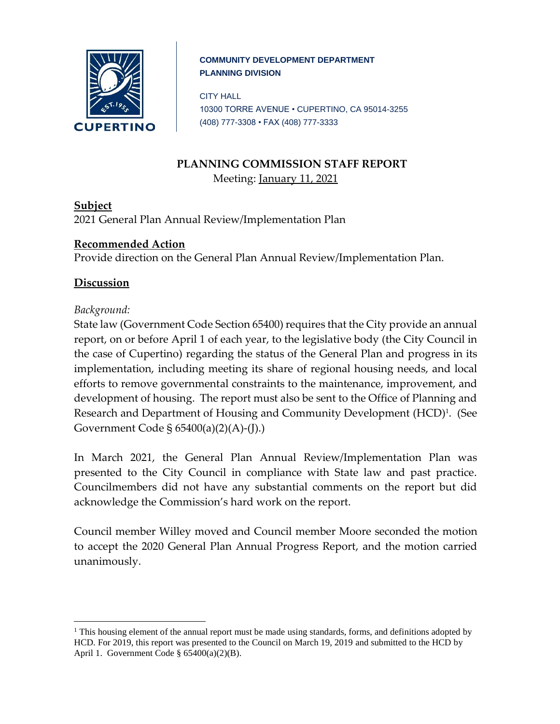

#### **COMMUNITY DEVELOPMENT DEPARTMENT PLANNING DIVISION**

CITY HALL 10300 TORRE AVENUE • CUPERTINO, CA 95014-3255 (408) 777-3308 • FAX (408) 777-3333

### **PLANNING COMMISSION STAFF REPORT** Meeting: January 11, 2021

**Subject** 2021 General Plan Annual Review/Implementation Plan

# **Recommended Action**

Provide direction on the General Plan Annual Review/Implementation Plan.

## **Discussion**

### *Background:*

 $\overline{a}$ 

State law (Government Code Section 65400) requires that the City provide an annual report, on or before April 1 of each year, to the legislative body (the City Council in the case of Cupertino) regarding the status of the General Plan and progress in its implementation, including meeting its share of regional housing needs, and local efforts to remove governmental constraints to the maintenance, improvement, and development of housing. The report must also be sent to the Office of Planning and Research and Department of Housing and Community Development (HCD)<sup>1</sup>. (See Government Code § 65400(a)(2)(A)-(J).)

In March 2021, the General Plan Annual Review/Implementation Plan was presented to the City Council in compliance with State law and past practice. Councilmembers did not have any substantial comments on the report but did acknowledge the Commission's hard work on the report.

Council member Willey moved and Council member Moore seconded the motion to accept the 2020 General Plan Annual Progress Report, and the motion carried unanimously.

 $<sup>1</sup>$  This housing element of the annual report must be made using standards, forms, and definitions adopted by</sup> HCD. For 2019, this report was presented to the Council on March 19, 2019 and submitted to the HCD by April 1. Government Code § 65400(a)(2)(B).